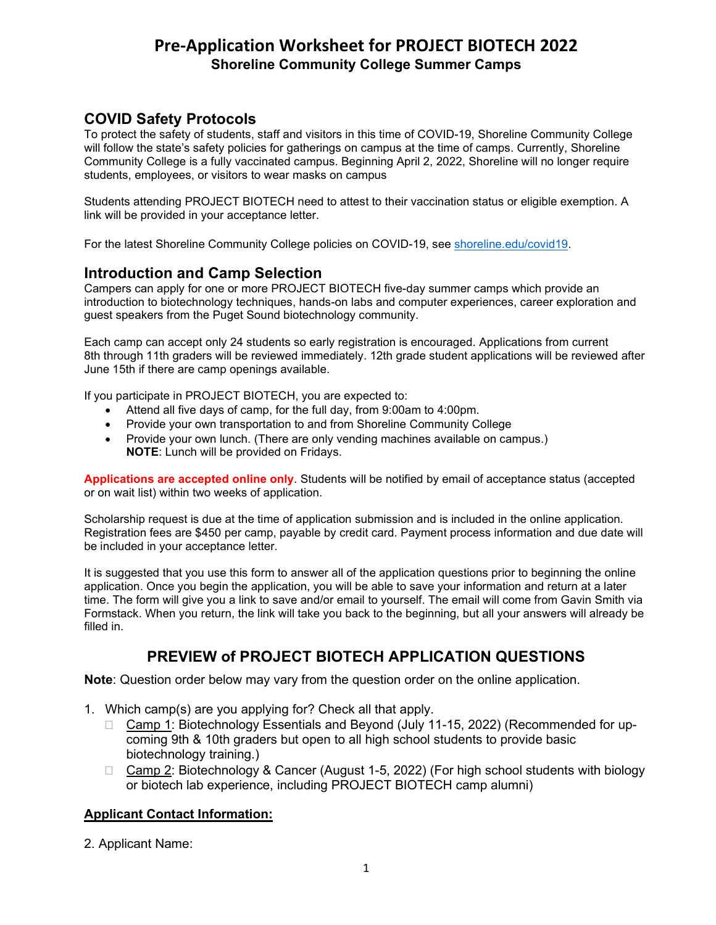## **COVID Safety Protocols**

To protect the safety of students, staff and visitors in this time of COVID-19, Shoreline Community College will follow the state's safety policies for gatherings on campus at the time of camps. Currently, Shoreline Community College is a fully vaccinated campus. Beginning April 2, 2022, Shoreline will no longer require students, employees, or visitors to wear masks on campus

Students attending PROJECT BIOTECH need to attest to their vaccination status or eligible exemption. A link will be provided in your acceptance letter.

For the latest Shoreline Community College policies on COVID-19, see [shoreline.edu/covid19.](https://www.shoreline.edu/covid-19/default.aspx)

## **Introduction and Camp Selection**

Campers can apply for one or more PROJECT BIOTECH five-day summer camps which provide an introduction to biotechnology techniques, hands-on labs and computer experiences, career exploration and guest speakers from the Puget Sound biotechnology community.

Each camp can accept only 24 students so early registration is encouraged. Applications from current 8th through 11th graders will be reviewed immediately. 12th grade student applications will be reviewed after June 15th if there are camp openings available.

If you participate in PROJECT BIOTECH, you are expected to:

- Attend all five days of camp, for the full day, from 9:00am to 4:00pm.
- Provide your own transportation to and from Shoreline Community College
- Provide your own lunch. (There are only vending machines available on campus.) **NOTE**: Lunch will be provided on Fridays.

**Applications are accepted online only**. Students will be notified by email of acceptance status (accepted or on wait list) within two weeks of application.

Scholarship request is due at the time of application submission and is included in the online application. Registration fees are \$450 per camp, payable by credit card. Payment process information and due date will be included in your acceptance letter.

It is suggested that you use this form to answer all of the application questions prior to beginning the online application. Once you begin the application, you will be able to save your information and return at a later time. The form will give you a link to save and/or email to yourself. The email will come from Gavin Smith via Formstack. When you return, the link will take you back to the beginning, but all your answers will already be filled in.

## **PREVIEW of PROJECT BIOTECH APPLICATION QUESTIONS**

**Note**: Question order below may vary from the question order on the online application.

- 1. Which camp(s) are you applying for? Check all that apply.
	- □ Camp 1: Biotechnology Essentials and Beyond (July 11-15, 2022) (Recommended for upcoming 9th & 10th graders but open to all high school students to provide basic biotechnology training.)
	- □ Camp 2: Biotechnology & Cancer (August 1-5, 2022) (For high school students with biology or biotech lab experience, including PROJECT BIOTECH camp alumni)

### **Applicant Contact Information:**

2. Applicant Name: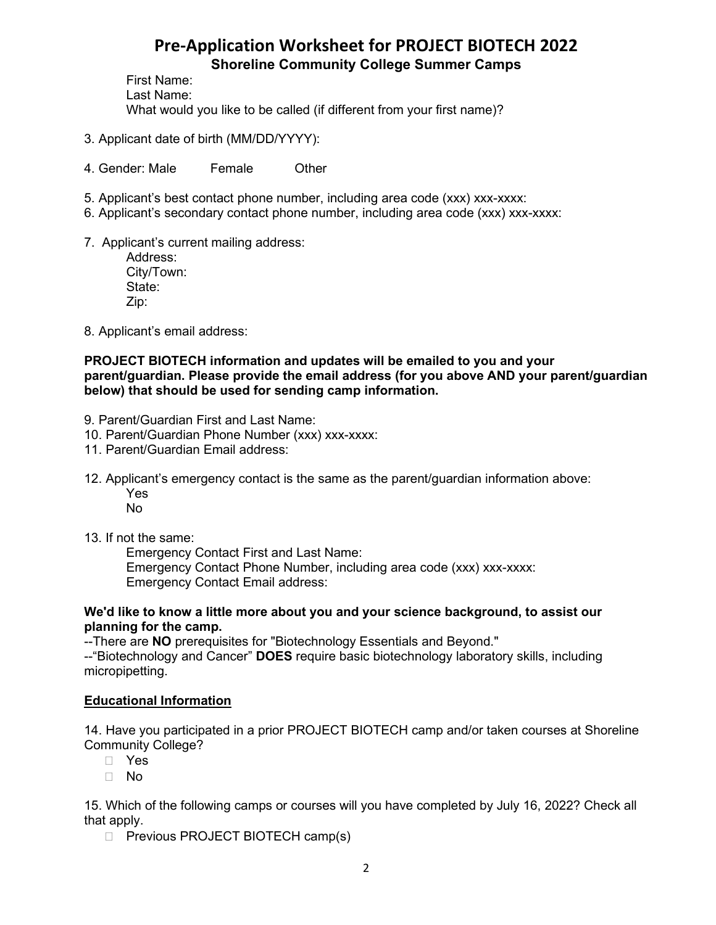First Name: Last Name: What would you like to be called (if different from your first name)?

- 3. Applicant date of birth (MM/DD/YYYY):
- 4. Gender: Male Female Other
- 5. Applicant's best contact phone number, including area code (xxx) xxx-xxxx:
- 6. Applicant's secondary contact phone number, including area code (xxx) xxx-xxxx:
- 7. Applicant's current mailing address:

Address: City/Town: State: Zip:

8. Applicant's email address:

### **PROJECT BIOTECH information and updates will be emailed to you and your parent/guardian. Please provide the email address (for you above AND your parent/guardian below) that should be used for sending camp information.**

- 9. Parent/Guardian First and Last Name:
- 10. Parent/Guardian Phone Number (xxx) xxx-xxxx:
- 11. Parent/Guardian Email address:
- 12. Applicant's emergency contact is the same as the parent/guardian information above: Yes
	- No
- 13. If not the same:

 Emergency Contact First and Last Name: Emergency Contact Phone Number, including area code (xxx) xxx-xxxx: Emergency Contact Email address:

#### **We'd like to know a little more about you and your science background, to assist our planning for the camp.**

--There are **NO** prerequisites for "Biotechnology Essentials and Beyond."

--"Biotechnology and Cancer" **DOES** require basic biotechnology laboratory skills, including micropipetting.

## **Educational Information**

14. Have you participated in a prior PROJECT BIOTECH camp and/or taken courses at Shoreline Community College?

- Yes
- No

15. Which of the following camps or courses will you have completed by July 16, 2022? Check all that apply.

 $\Box$  Previous PROJECT BIOTECH camp(s)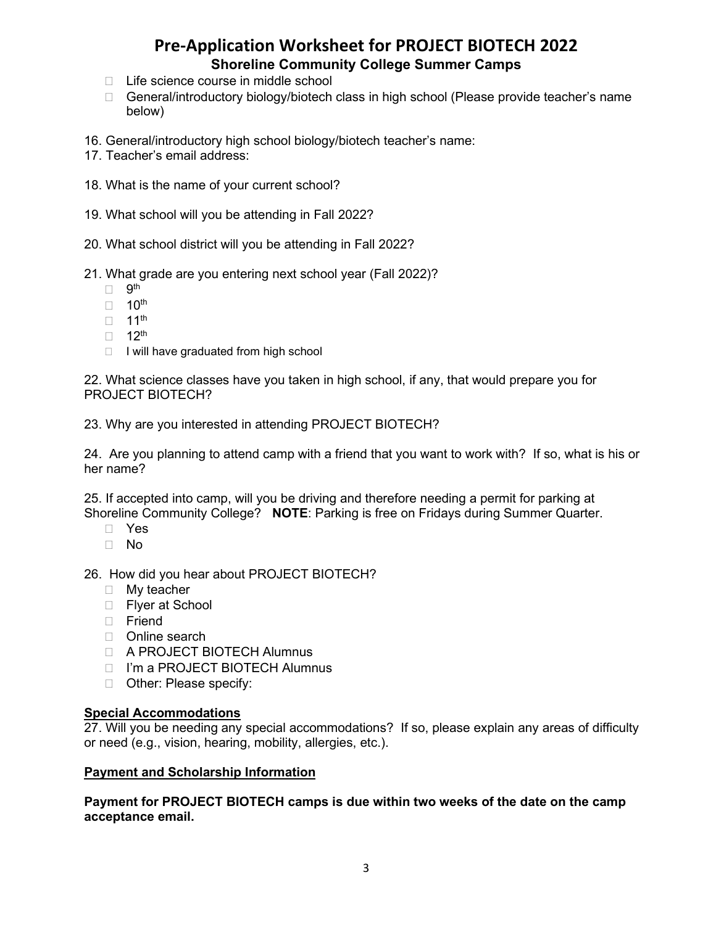- $\Box$  Life science course in middle school
- □ General/introductory biology/biotech class in high school (Please provide teacher's name below)
- 16. General/introductory high school biology/biotech teacher's name:
- 17. Teacher's email address:
- 18. What is the name of your current school?
- 19. What school will you be attending in Fall 2022?
- 20. What school district will you be attending in Fall 2022?

21. What grade are you entering next school year (Fall 2022)?

- $\Box$  9<sup>th</sup>
- $\Box$  10<sup>th</sup>
- $\Box$  11<sup>th</sup>
- $\Box$  12<sup>th</sup>
- $\Box$  I will have graduated from high school

22. What science classes have you taken in high school, if any, that would prepare you for PROJECT BIOTECH?

23. Why are you interested in attending PROJECT BIOTECH?

24. Are you planning to attend camp with a friend that you want to work with? If so, what is his or her name?

25. If accepted into camp, will you be driving and therefore needing a permit for parking at Shoreline Community College? **NOTE**: Parking is free on Fridays during Summer Quarter.

- Yes
- No

26. How did you hear about PROJECT BIOTECH?

- **My teacher**
- □ Flyer at School
- D Friend
- D Online search
- A PROJECT BIOTECH Alumnus
- □ I'm a PROJECT BIOTECH Alumnus
- □ Other: Please specify:

#### **Special Accommodations**

27. Will you be needing any special accommodations? If so, please explain any areas of difficulty or need (e.g., vision, hearing, mobility, allergies, etc.).

#### **Payment and Scholarship Information**

**Payment for PROJECT BIOTECH camps is due within two weeks of the date on the camp acceptance email.**